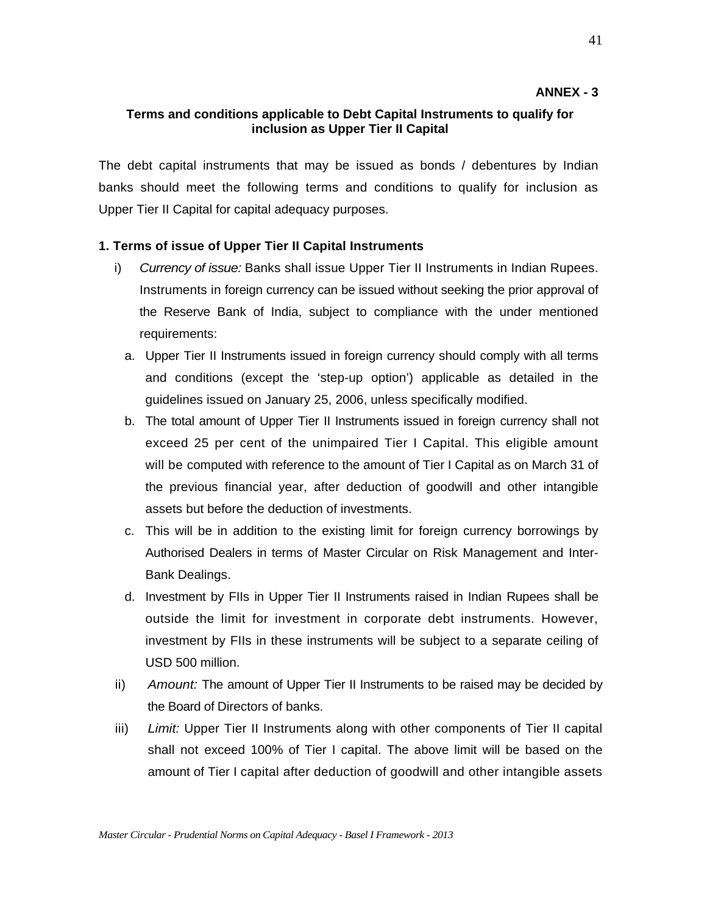#### **Terms and conditions applicable to Debt Capital Instruments to qualify for inclusion as Upper Tier II Capital**

The debt capital instruments that may be issued as bonds / debentures by Indian banks should meet the following terms and conditions to qualify for inclusion as Upper Tier II Capital for capital adequacy purposes.

# **1. Terms of issue of Upper Tier II Capital Instruments**

- i) *Currency of issue:* Banks shall issue Upper Tier II Instruments in Indian Rupees. Instruments in foreign currency can be issued without seeking the prior approval of the Reserve Bank of India, subject to compliance with the under mentioned requirements:
	- a. Upper Tier II Instruments issued in foreign currency should comply with all terms and conditions (except the 'step-up option') applicable as detailed in the guidelines issued on January 25, 2006, unless specifically modified.
	- b. The total amount of Upper Tier II Instruments issued in foreign currency shall not exceed 25 per cent of the unimpaired Tier I Capital. This eligible amount will be computed with reference to the amount of Tier I Capital as on March 31 of the previous financial year, after deduction of goodwill and other intangible assets but before the deduction of investments.
	- c. This will be in addition to the existing limit for foreign currency borrowings by Authorised Dealers in terms of Master Circular on Risk Management and Inter-Bank Dealings.
	- d. Investment by FIIs in Upper Tier II Instruments raised in Indian Rupees shall be outside the limit for investment in corporate debt instruments. However, investment by FIIs in these instruments will be subject to a separate ceiling of USD 500 million.
- ii) *Amount:* The amount of Upper Tier II Instruments to be raised may be decided by the Board of Directors of banks.
- iii) *Limit:* Upper Tier II Instruments along with other components of Tier II capital shall not exceed 100% of Tier I capital. The above limit will be based on the amount of Tier I capital after deduction of goodwill and other intangible assets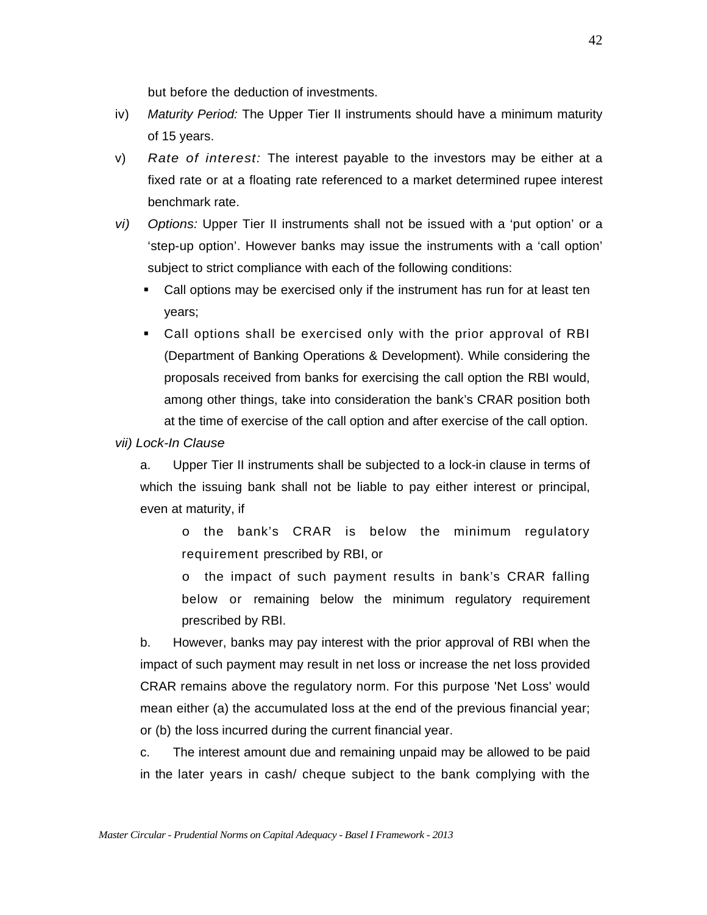but before the deduction of investments.

- iv) *Maturity Period:* The Upper Tier II instruments should have a minimum maturity of 15 years.
- v) *Rate of interest:* The interest payable to the investors may be either at a fixed rate or at a floating rate referenced to a market determined rupee interest benchmark rate.
- *vi) Options:* Upper Tier II instruments shall not be issued with a 'put option' or a 'step-up option'. However banks may issue the instruments with a 'call option' subject to strict compliance with each of the following conditions:
	- Call options may be exercised only if the instrument has run for at least ten years;
	- Call options shall be exercised only with the prior approval of RBI (Department of Banking Operations & Development). While considering the proposals received from banks for exercising the call option the RBI would, among other things, take into consideration the bank's CRAR position both at the time of exercise of the call option and after exercise of the call option.

#### *vii) Lock-In Clause*

a. Upper Tier II instruments shall be subjected to a lock-in clause in terms of which the issuing bank shall not be liable to pay either interest or principal, even at maturity, if

o the bank's CRAR is below the minimum regulatory requirement prescribed by RBI, or

o the impact of such payment results in bank's CRAR falling below or remaining below the minimum regulatory requirement prescribed by RBI.

b. However, banks may pay interest with the prior approval of RBI when the impact of such payment may result in net loss or increase the net loss provided CRAR remains above the regulatory norm. For this purpose 'Net Loss' would mean either (a) the accumulated loss at the end of the previous financial year; or (b) the loss incurred during the current financial year.

c. The interest amount due and remaining unpaid may be allowed to be paid in the later years in cash/ cheque subject to the bank complying with the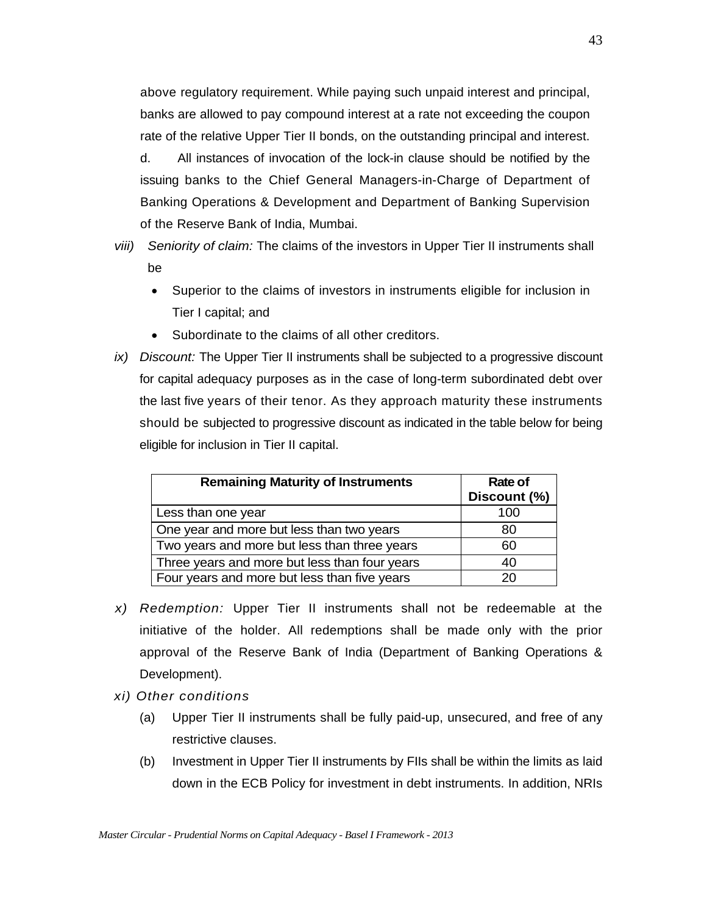above regulatory requirement. While paying such unpaid interest and principal, banks are allowed to pay compound interest at a rate not exceeding the coupon rate of the relative Upper Tier II bonds, on the outstanding principal and interest.

d. All instances of invocation of the lock-in clause should be notified by the issuing banks to the Chief General Managers-in-Charge of Department of Banking Operations & Development and Department of Banking Supervision of the Reserve Bank of India, Mumbai.

- *viii) Seniority of claim:* The claims of the investors in Upper Tier II instruments shall be
	- Superior to the claims of investors in instruments eligible for inclusion in Tier I capital; and
	- Subordinate to the claims of all other creditors.
- *ix) Discount:* The Upper Tier II instruments shall be subjected to a progressive discount for capital adequacy purposes as in the case of long-term subordinated debt over the last five years of their tenor. As they approach maturity these instruments should be subjected to progressive discount as indicated in the table below for being eligible for inclusion in Tier II capital.

| <b>Remaining Maturity of Instruments</b>      | Rate of<br>Discount (%) |
|-----------------------------------------------|-------------------------|
| Less than one year                            | 100                     |
| One year and more but less than two years     | 80                      |
| Two years and more but less than three years  | 60                      |
| Three years and more but less than four years | 40                      |
| Four years and more but less than five years  | 20                      |

- *x) Redemption:* Upper Tier II instruments shall not be redeemable at the initiative of the holder. All redemptions shall be made only with the prior approval of the Reserve Bank of India (Department of Banking Operations & Development).
- *xi) Other conditions* 
	- (a) Upper Tier II instruments shall be fully paid-up, unsecured, and free of any restrictive clauses.
	- (b) Investment in Upper Tier II instruments by FIIs shall be within the limits as laid down in the ECB Policy for investment in debt instruments. In addition, NRIs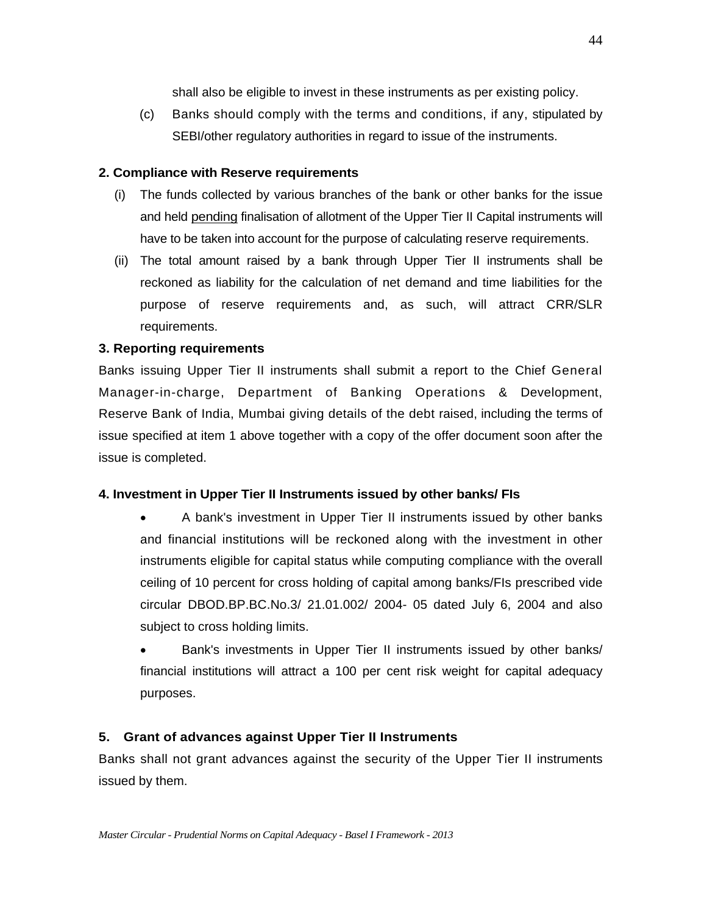shall also be eligible to invest in these instruments as per existing policy.

(c) Banks should comply with the terms and conditions, if any, stipulated by SEBI/other regulatory authorities in regard to issue of the instruments.

#### **2. Compliance with Reserve requirements**

- (i) The funds collected by various branches of the bank or other banks for the issue and held pending finalisation of allotment of the Upper Tier II Capital instruments will have to be taken into account for the purpose of calculating reserve requirements.
- (ii) The total amount raised by a bank through Upper Tier II instruments shall be reckoned as liability for the calculation of net demand and time liabilities for the purpose of reserve requirements and, as such, will attract CRR/SLR requirements.

# **3. Reporting requirements**

Banks issuing Upper Tier II instruments shall submit a report to the Chief General Manager-in-charge, Department of Banking Operations & Development, Reserve Bank of India, Mumbai giving details of the debt raised, including the terms of issue specified at item 1 above together with a copy of the offer document soon after the issue is completed.

# **4. Investment in Upper Tier II Instruments issued by other banks/ FIs**

- A bank's investment in Upper Tier II instruments issued by other banks and financial institutions will be reckoned along with the investment in other instruments eligible for capital status while computing compliance with the overall ceiling of 10 percent for cross holding of capital among banks/FIs prescribed vide circular DBOD.BP.BC.No.3/ 21.01.002/ 2004- 05 dated July 6, 2004 and also subject to cross holding limits.
- Bank's investments in Upper Tier II instruments issued by other banks/ financial institutions will attract a 100 per cent risk weight for capital adequacy purposes.

# **5. Grant of advances against Upper Tier II Instruments**

Banks shall not grant advances against the security of the Upper Tier II instruments issued by them.